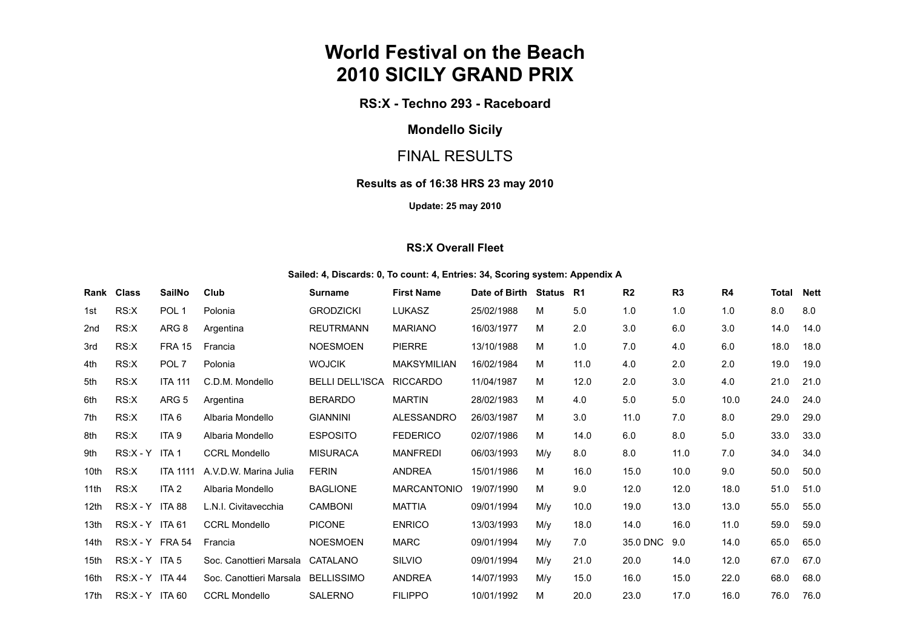# **World Festival on the Beach 2010 SICILY GRAND PRIX**

**RS:X - Techno 293 - Raceboard**

## **Mondello Sicily**

## FINAL RESULTS

#### **Results as of 16:38 HRS 23 may 2010**

**Update: 25 may 2010**

#### **RS:X Overall Fleet**

#### **Sailed: 4, Discards: 0, To count: 4, Entries: 34, Scoring system: Appendix A**

| Rank             | <b>Class</b>      | <b>SailNo</b>    | Club                    | <b>Surname</b>         | <b>First Name</b>  | Date of Birth | Status | <b>R1</b> | R <sub>2</sub> | R <sub>3</sub> | R4   | <b>Total</b> | <b>Nett</b> |
|------------------|-------------------|------------------|-------------------------|------------------------|--------------------|---------------|--------|-----------|----------------|----------------|------|--------------|-------------|
| 1st              | RS:X              | POL <sub>1</sub> | Polonia                 | <b>GRODZICKI</b>       | <b>LUKASZ</b>      | 25/02/1988    | M      | 5.0       | 1.0            | 1.0            | 1.0  | 8.0          | 8.0         |
| 2 <sub>nd</sub>  | RS:X              | ARG 8            | Argentina               | <b>REUTRMANN</b>       | <b>MARIANO</b>     | 16/03/1977    | М      | 2.0       | 3.0            | 6.0            | 3.0  | 14.0         | 14.0        |
| 3rd              | RS:X              | <b>FRA 15</b>    | Francia                 | <b>NOESMOEN</b>        | <b>PIERRE</b>      | 13/10/1988    | М      | 1.0       | 7.0            | 4.0            | 6.0  | 18.0         | 18.0        |
| 4th              | RS:X              | POL <sub>7</sub> | Polonia                 | <b>WOJCIK</b>          | <b>MAKSYMILIAN</b> | 16/02/1984    | М      | 11.0      | 4.0            | 2.0            | 2.0  | 19.0         | 19.0        |
| 5th              | RS:X              | <b>ITA 111</b>   | C.D.M. Mondello         | <b>BELLI DELL'ISCA</b> | <b>RICCARDO</b>    | 11/04/1987    | М      | 12.0      | 2.0            | 3.0            | 4.0  | 21.0         | 21.0        |
| 6th              | RS:X              | ARG <sub>5</sub> | Argentina               | <b>BERARDO</b>         | <b>MARTIN</b>      | 28/02/1983    | М      | 4.0       | 5.0            | 5.0            | 10.0 | 24.0         | 24.0        |
| 7th              | RS:X              | ITA 6            | Albaria Mondello        | <b>GIANNINI</b>        | <b>ALESSANDRO</b>  | 26/03/1987    | М      | 3.0       | 11.0           | 7.0            | 8.0  | 29.0         | 29.0        |
| 8th              | RS:X              | ITA <sub>9</sub> | Albaria Mondello        | <b>ESPOSITO</b>        | <b>FEDERICO</b>    | 02/07/1986    | М      | 14.0      | 6.0            | 8.0            | 5.0  | 33.0         | 33.0        |
| 9th              | $RS:X - Y$        | ITA 1            | <b>CCRL Mondello</b>    | <b>MISURACA</b>        | <b>MANFREDI</b>    | 06/03/1993    | M/v    | 8.0       | 8.0            | 11.0           | 7.0  | 34.0         | 34.0        |
| 10th             | RS:X              | <b>ITA 1111</b>  | A.V.D.W. Marina Julia   | <b>FERIN</b>           | <b>ANDREA</b>      | 15/01/1986    | М      | 16.0      | 15.0           | 10.0           | 9.0  | 50.0         | 50.0        |
| 11 <sub>th</sub> | RS:X              | ITA 2            | Albaria Mondello        | <b>BAGLIONE</b>        | <b>MARCANTONIO</b> | 19/07/1990    | M      | 9.0       | 12.0           | 12.0           | 18.0 | 51.0         | 51.0        |
| 12 <sub>th</sub> | RS:X - Y ITA 88   |                  | L.N.I. Civitavecchia    | <b>CAMBONI</b>         | <b>MATTIA</b>      | 09/01/1994    | M/v    | 10.0      | 19.0           | 13.0           | 13.0 | 55.0         | 55.0        |
| 13th             | $RS:X - Y$ ITA 61 |                  | <b>CCRL Mondello</b>    | <b>PICONE</b>          | <b>ENRICO</b>      | 13/03/1993    | M/y    | 18.0      | 14.0           | 16.0           | 11.0 | 59.0         | 59.0        |
| 14th             | RS:X - Y FRA 54   |                  | Francia                 | <b>NOESMOEN</b>        | <b>MARC</b>        | 09/01/1994    | M/v    | 7.0       | 35.0 DNC       | 9.0            | 14.0 | 65.0         | 65.0        |
| 15th             | RS:X - Y ITA 5    |                  | Soc. Canottieri Marsala | CATALANO               | SILVIO             | 09/01/1994    | M/y    | 21.0      | 20.0           | 14.0           | 12.0 | 67.0         | 67.0        |
| 16th             | $RS:X - Y$ ITA 44 |                  | Soc. Canottieri Marsala | <b>BELLISSIMO</b>      | <b>ANDREA</b>      | 14/07/1993    | M/y    | 15.0      | 16.0           | 15.0           | 22.0 | 68.0         | 68.0        |
| 17th             | $RS:X - Y$ ITA 60 |                  | <b>CCRL Mondello</b>    | <b>SALERNO</b>         | <b>FILIPPO</b>     | 10/01/1992    | М      | 20.0      | 23.0           | 17.0           | 16.0 | 76.0         | 76.0        |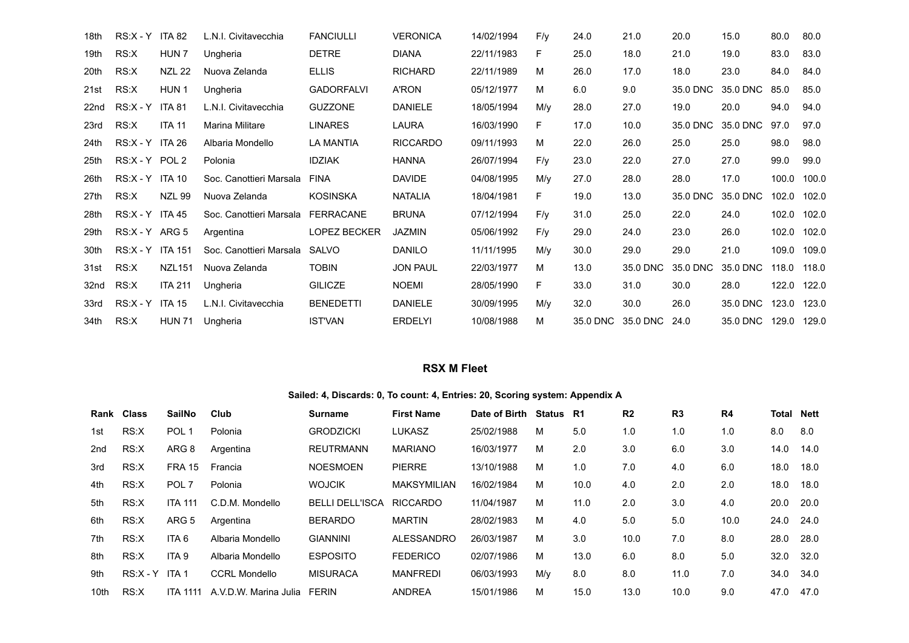| 18th             | $RS:X - Y$        | <b>ITA 82</b>    | L.N.I. Civitavecchia    | <b>FANCIULLI</b>    | <b>VERONICA</b> | 14/02/1994 | $F/\gamma$ | 24.0     | 21.0          | 20.0     | 15.0     | 80.0  | 80.0  |
|------------------|-------------------|------------------|-------------------------|---------------------|-----------------|------------|------------|----------|---------------|----------|----------|-------|-------|
| 19th             | RS:X              | HUN <sub>7</sub> | Ungheria                | <b>DETRE</b>        | <b>DIANA</b>    | 22/11/1983 | F          | 25.0     | 18.0          | 21.0     | 19.0     | 83.0  | 83.0  |
| 20th             | RS:X              | <b>NZL 22</b>    | Nuova Zelanda           | <b>ELLIS</b>        | <b>RICHARD</b>  | 22/11/1989 | м          | 26.0     | 17.0          | 18.0     | 23.0     | 84.0  | 84.0  |
| 21st             | RS:X              | HUN <sub>1</sub> | Ungheria                | <b>GADORFALVI</b>   | A'RON           | 05/12/1977 | м          | 6.0      | 9.0           | 35.0 DNC | 35.0 DNC | 85.0  | 85.0  |
| 22 <sub>nd</sub> | $RS:X - Y$        | <b>ITA 81</b>    | L.N.I. Civitavecchia    | <b>GUZZONE</b>      | <b>DANIELE</b>  | 18/05/1994 | M/y        | 28.0     | 27.0          | 19.0     | 20.0     | 94.0  | 94.0  |
| 23rd             | RS:X              | <b>ITA 11</b>    | <b>Marina Militare</b>  | <b>LINARES</b>      | LAURA           | 16/03/1990 | F          | 17.0     | 10.0          | 35.0 DNC | 35.0 DNC | 97.0  | 97.0  |
| 24th             | $RS:X - Y$        | <b>ITA 26</b>    | Albaria Mondello        | <b>LA MANTIA</b>    | <b>RICCARDO</b> | 09/11/1993 | м          | 22.0     | 26.0          | 25.0     | 25.0     | 98.0  | 98.0  |
| 25 <sub>th</sub> | RS:X-Y POL2       |                  | Polonia                 | <b>IDZIAK</b>       | <b>HANNA</b>    | 26/07/1994 | F/v        | 23.0     | 22.0          | 27.0     | 27.0     | 99.0  | 99.0  |
| 26th             | $RS:X - Y$ ITA 10 |                  | Soc. Canottieri Marsala | <b>FINA</b>         | <b>DAVIDE</b>   | 04/08/1995 | M/y        | 27.0     | 28.0          | 28.0     | 17.0     | 100.0 | 100.0 |
| 27th             | RS:X              | <b>NZL 99</b>    | Nuova Zelanda           | <b>KOSINSKA</b>     | <b>NATALIA</b>  | 18/04/1981 | F          | 19.0     | 13.0          | 35.0 DNC | 35.0 DNC | 102.0 | 102.0 |
| 28th             | $RS:X - Y$        | <b>ITA 45</b>    | Soc. Canottieri Marsala | <b>FERRACANE</b>    | <b>BRUNA</b>    | 07/12/1994 | F/v        | 31.0     | 25.0          | 22.0     | 24.0     | 102.0 | 102.0 |
| 29th             | RS:X - Y ARG 5    |                  | Argentina               | <b>LOPEZ BECKER</b> | <b>JAZMIN</b>   | 05/06/1992 | F/y        | 29.0     | 24.0          | 23.0     | 26.0     | 102.0 | 102.0 |
| 30th             | $RS:X - Y$        | ITA 151          | Soc. Canottieri Marsala | SALVO               | <b>DANILO</b>   | 11/11/1995 | M/y        | 30.0     | 29.0          | 29.0     | 21.0     | 109.0 | 109.0 |
| 31st             | RS:X              | <b>NZL151</b>    | Nuova Zelanda           | <b>TOBIN</b>        | <b>JON PAUL</b> | 22/03/1977 | м          | 13.0     | 35.0 DNC      | 35.0 DNC | 35.0 DNC | 118.0 | 118.0 |
| 32nd             | RS:X              | <b>ITA 211</b>   | Ungheria                | <b>GILICZE</b>      | <b>NOEMI</b>    | 28/05/1990 | F          | 33.0     | 31.0          | 30.0     | 28.0     | 122.0 | 122.0 |
| 33rd             | $RS:X - Y$        | <b>ITA 15</b>    | L.N.I. Civitavecchia    | <b>BENEDETTI</b>    | <b>DANIELE</b>  | 30/09/1995 | M/y        | 32.0     | 30.0          | 26.0     | 35.0 DNC | 123.0 | 123.0 |
| 34th             | RS:X              | <b>HUN 71</b>    | Ungheria                | <b>IST'VAN</b>      | <b>ERDELYI</b>  | 10/08/1988 | м          | 35.0 DNC | 35.0 DNC 24.0 |          | 35.0 DNC | 129.0 | 129.0 |

#### **RSX M Fleet**

#### **Sailed: 4, Discards: 0, To count: 4, Entries: 20, Scoring system: Appendix A**

| Rank | Class      | SailNo           | Club                  | Surname                | <b>First Name</b> | Date of Birth | Status R1 |      | R <sub>2</sub> | R <sub>3</sub> | R4   | Total | Nett |
|------|------------|------------------|-----------------------|------------------------|-------------------|---------------|-----------|------|----------------|----------------|------|-------|------|
| 1st  | RS:X       | POL <sub>1</sub> | Polonia               | <b>GRODZICKI</b>       | <b>LUKASZ</b>     | 25/02/1988    | м         | 5.0  | 1.0            | 1.0            | 1.0  | 8.0   | 8.0  |
| 2nd  | RS:X       | ARG 8            | Argentina             | <b>REUTRMANN</b>       | <b>MARIANO</b>    | 16/03/1977    | м         | 2.0  | 3.0            | 6.0            | 3.0  | 14.0  | 14.0 |
| 3rd  | RS:X       | <b>FRA 15</b>    | Francia               | <b>NOESMOEN</b>        | <b>PIERRE</b>     | 13/10/1988    | м         | 1.0  | 7.0            | 4.0            | 6.0  | 18.0  | 18.0 |
| 4th  | RS:X       | POL <sub>7</sub> | Polonia               | <b>WOJCIK</b>          | MAKSYMILIAN       | 16/02/1984    | M         | 10.0 | 4.0            | 2.0            | 2.0  | 18.0  | 18.0 |
| 5th  | RS:X       | <b>ITA 111</b>   | C.D.M. Mondello       | <b>BELLI DELL'ISCA</b> | <b>RICCARDO</b>   | 11/04/1987    | M         | 11.0 | 2.0            | 3.0            | 4.0  | 20.0  | 20.0 |
| 6th  | RS:X       | ARG <sub>5</sub> | Argentina             | <b>BERARDO</b>         | <b>MARTIN</b>     | 28/02/1983    | M         | 4.0  | 5.0            | 5.0            | 10.0 | 24.0  | 24.0 |
| 7th  | RS:X       | ITA 6            | Albaria Mondello      | <b>GIANNINI</b>        | ALESSANDRO        | 26/03/1987    | м         | 3.0  | 10.0           | 7.0            | 8.0  | 28.0  | 28.0 |
| 8th  | RS:X       | ITA 9            | Albaria Mondello      | <b>ESPOSITO</b>        | <b>FEDERICO</b>   | 02/07/1986    | M         | 13.0 | 6.0            | 8.0            | 5.0  | 32.0  | 32.0 |
| 9th  | $RS:X - Y$ | ITA 1            | <b>CCRL Mondello</b>  | <b>MISURACA</b>        | <b>MANFREDI</b>   | 06/03/1993    | M/y       | 8.0  | 8.0            | 11.0           | 7.0  | 34.0  | 34.0 |
| 10th | RS:X       | ITA 1111         | A.V.D.W. Marina Julia | <b>FERIN</b>           | <b>ANDREA</b>     | 15/01/1986    | м         | 15.0 | 13.0           | 10.0           | 9.0  | 47.0  | 47.0 |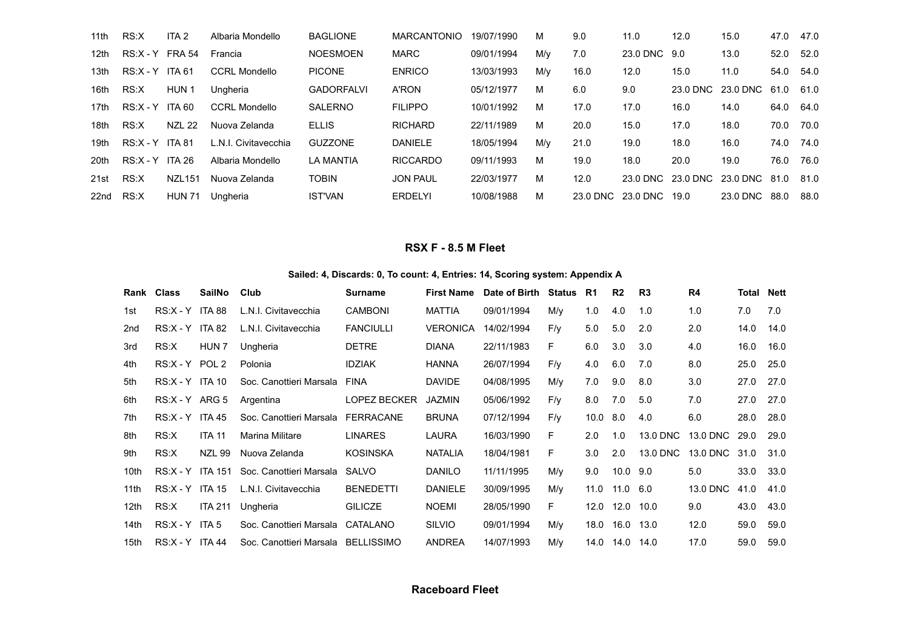| 11th             | RS:X              | ITA <sub>2</sub> | Albaria Mondello     | <b>BAGLIONE</b>   | <b>MARCANTONIO</b> | 19/07/1990 | м   | 9.0  | 11.0                   | 12.0              | 15.0              | 47.0 | 47.0 |
|------------------|-------------------|------------------|----------------------|-------------------|--------------------|------------|-----|------|------------------------|-------------------|-------------------|------|------|
| 12 <sub>th</sub> | $RS:X - Y$ FRA 54 |                  | Francia              | <b>NOESMOEN</b>   | <b>MARC</b>        | 09/01/1994 | M/v | 7.0  | 23.0 DNC 9.0           |                   | 13.0              | 52.0 | 52.0 |
| 13th             | $RS:X - Y$ ITA 61 |                  | <b>CCRL Mondello</b> | <b>PICONE</b>     | <b>ENRICO</b>      | 13/03/1993 | M/v | 16.0 | 12.0                   | 15.0              | 11.0              | 54.0 | 54.0 |
| 16th             | RS:X              | HUN 1            | Ungheria             | <b>GADORFALVI</b> | <b>A'RON</b>       | 05/12/1977 | м   | 6.0  | 9.0                    |                   | 23.0 DNC 23.0 DNC | 61.0 | 61.0 |
| 17th             | $RS:X - Y$ ITA 60 |                  | <b>CCRL Mondello</b> | SALERNO           | <b>FILIPPO</b>     | 10/01/1992 | м   | 17.0 | 17.0                   | 16.0              | 14.0              | 64.0 | 64.0 |
| 18th             | RS:X              | <b>NZL 22</b>    | Nuova Zelanda        | <b>ELLIS</b>      | <b>RICHARD</b>     | 22/11/1989 | м   | 20.0 | 15.0                   | 17.0              | 18.0              | 70.0 | 70.0 |
| 19 <sub>th</sub> | $RS:X - Y$ ITA 81 |                  | L.N.I. Civitavecchia | <b>GUZZONE</b>    | <b>DANIELE</b>     | 18/05/1994 | M/v | 21.0 | 19.0                   | 18.0              | 16.0              | 74.0 | 74.0 |
| 20th             | $RS:X - Y$ ITA 26 |                  | Albaria Mondello     | LA MANTIA         | <b>RICCARDO</b>    | 09/11/1993 | м   | 19.0 | 18.0                   | 20.0              | 19.0              | 76.0 | 76.0 |
| 21st             | RS:X              | <b>NZL151</b>    | Nuova Zelanda        | <b>TOBIN</b>      | <b>JON PAUL</b>    | 22/03/1977 | м   | 12.0 |                        | 23.0 DNC 23.0 DNC | 23.0 DNC          | 81.0 | 81.0 |
| 22nd             | RS:X              | <b>HUN 71</b>    | Ungheria             | <b>IST'VAN</b>    | <b>ERDELYI</b>     | 10/08/1988 | м   |      | 23.0 DNC 23.0 DNC 19.0 |                   | 23.0 DNC          | 88.0 | 88.0 |

### **RSX F - 8.5 M Fleet**

#### **Sailed: 4, Discards: 0, To count: 4, Entries: 14, Scoring system: Appendix A**

|                  | Rank Class        | SailNo           | Club                               | Surname          | <b>First Name</b> | Date of Birth | Status | R1         | R <sub>2</sub> | R3       | R <sub>4</sub> | Total | Nett |
|------------------|-------------------|------------------|------------------------------------|------------------|-------------------|---------------|--------|------------|----------------|----------|----------------|-------|------|
| 1st              | $RS:X - Y$ ITA 88 |                  | L.N.I. Civitavecchia               | <b>CAMBONI</b>   | <b>MATTIA</b>     | 09/01/1994    | M/v    | 1.0        | 4.0            | 1.0      | 1.0            | 7.0   | 7.0  |
| 2nd              | $RS:X - Y$ ITA 82 |                  | L.N.I. Civitavecchia               | <b>FANCIULLI</b> | <b>VERONICA</b>   | 14/02/1994    | F/y    | 5.0        | 5.0            | 2.0      | 2.0            | 14.0  | 14.0 |
| 3rd              | RS:X              | HUN <sub>7</sub> | Ungheria                           | <b>DETRE</b>     | <b>DIANA</b>      | 22/11/1983    | F.     | 6.0        | 3.0            | 3.0      | 4.0            | 16.0  | 16.0 |
| 4th              | $RS:X - Y$        | POL <sub>2</sub> | Polonia                            | <b>IDZIAK</b>    | <b>HANNA</b>      | 26/07/1994    | F/y    | 4.0        | 6.0            | 7.0      | 8.0            | 25.0  | 25.0 |
| 5th              | $RS:X - Y$ ITA 10 |                  | Soc. Canottieri Marsala            | FINA             | <b>DAVIDE</b>     | 04/08/1995    | M/y    | 7.0        | 9.0            | 8.0      | 3.0            | 27.0  | 27.0 |
| 6th              | $RS:X - Y$ ARG 5  |                  | Argentina                          | LOPEZ BECKER     | <b>JAZMIN</b>     | 05/06/1992    | F/y    | 8.0        | 7.0            | 5.0      | 7.0            | 27.0  | 27.0 |
| 7th              | $RS:X - Y$ ITA 45 |                  | Soc. Canottieri Marsala FERRACANE  |                  | <b>BRUNA</b>      | 07/12/1994    | F/y    | $10.0$ 8.0 |                | 4.0      | 6.0            | 28.0  | 28.0 |
| 8th              | RS:X              | <b>ITA 11</b>    | Marina Militare                    | <b>LINARES</b>   | LAURA             | 16/03/1990    | F.     | 2.0        | 1.0            | 13.0 DNC | 13.0 DNC       | 29.0  | 29.0 |
| 9th              | RS:X              | <b>NZL 99</b>    | Nuova Zelanda                      | <b>KOSINSKA</b>  | <b>NATALIA</b>    | 18/04/1981    | F.     | 3.0        | 2.0            | 13.0 DNC | 13.0 DNC       | 31.0  | 31.0 |
| 10th             | RS:X - Y ITA 151  |                  | Soc. Canottieri Marsala            | SALVO            | <b>DANILO</b>     | 11/11/1995    | M/v    | 9.0        | $10.0$ $9.0$   |          | 5.0            | 33.0  | 33.0 |
| 11th             | $RS:X - Y$ ITA 15 |                  | L.N.I. Civitavecchia               | <b>BENEDETTI</b> | <b>DANIELE</b>    | 30/09/1995    | M/v    | 11.0       | 11.0 6.0       |          | 13.0 DNC       | 41.0  | 41.0 |
| 12 <sub>th</sub> | RS:X              | <b>ITA 211</b>   | Ungheria                           | <b>GILICZE</b>   | <b>NOEMI</b>      | 28/05/1990    | F.     | 12.0       | 12.0           | 10.0     | 9.0            | 43.0  | 43.0 |
| 14th             | $RS:X - Y$ ITA 5  |                  | Soc. Canottieri Marsala            | CATALANO         | <b>SILVIO</b>     | 09/01/1994    | M/v    | 18.0       | 16.0 13.0      |          | 12.0           | 59.0  | 59.0 |
| 15th             | $RS:X - Y$ ITA 44 |                  | Soc. Canottieri Marsala BELLISSIMO |                  | <b>ANDREA</b>     | 14/07/1993    | M/y    | 14.0       | 14.0 14.0      |          | 17.0           | 59.0  | 59.0 |

#### **Raceboard Fleet**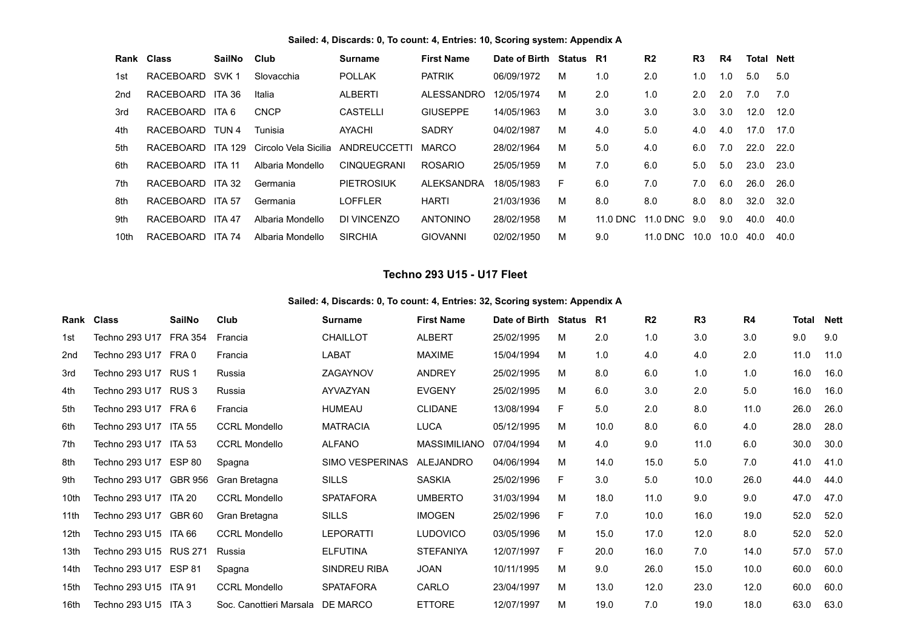#### **Sailed: 4, Discards: 0, To count: 4, Entries: 10, Scoring system: Appendix A**

|      | Rank Class | <b>SailNo</b>  | Club                 | Surname            | <b>First Name</b> | Date of Birth | Status | - R1     | R <sub>2</sub> | R <sub>3</sub> | R4   | Total | <b>Nett</b> |
|------|------------|----------------|----------------------|--------------------|-------------------|---------------|--------|----------|----------------|----------------|------|-------|-------------|
| 1st  | RACEBOARD  | SVK 1          | Slovacchia           | <b>POLLAK</b>      | <b>PATRIK</b>     | 06/09/1972    | M      | 1.0      | 2.0            | 1.0            | 1.0  | 5.0   | 5.0         |
| 2nd  | RACEBOARD  | ITA 36         | Italia               | <b>ALBERTI</b>     | ALESSANDRO        | 12/05/1974    | м      | 2.0      | 1.0            | 2.0            | 2.0  | 7.0   | 7.0         |
| 3rd  | RACEBOARD  | ITA 6          | <b>CNCP</b>          | <b>CASTELLI</b>    | <b>GIUSEPPE</b>   | 14/05/1963    | M      | 3.0      | 3.0            | 3.0            | 3.0  | 12.0  | 12.0        |
| 4th  | RACEBOARD  | TUN 4          | Tunisia              | <b>AYACHI</b>      | <b>SADRY</b>      | 04/02/1987    | м      | 4.0      | 5.0            | 4.0            | 4.0  | 17.0  | 17.0        |
| 5th  | RACEBOARD  | <b>ITA 129</b> | Circolo Vela Sicilia | ANDREUCCETTI       | <b>MARCO</b>      | 28/02/1964    | м      | 5.0      | 4.0            | 6.0            | 7.0  | 22.0  | 22.0        |
| 6th  | RACEBOARD  | <b>ITA 11</b>  | Albaria Mondello     | <b>CINQUEGRANI</b> | <b>ROSARIO</b>    | 25/05/1959    | м      | 7.0      | 6.0            | 5.0            | 5.0  | 23.0  | 23.0        |
| 7th  | RACEBOARD  | ITA 32         | Germania             | PIETROSIUK         | <b>ALEKSANDRA</b> | 18/05/1983    | F.     | 6.0      | 7.0            | 7.0            | 6.0  | 26.0  | 26.0        |
| 8th  | RACEBOARD  | <b>ITA 57</b>  | Germania             | LOFFLER            | <b>HARTI</b>      | 21/03/1936    | м      | 8.0      | 8.0            | 8.0            | 8.0  | 32.0  | 32.0        |
| 9th  | RACEBOARD  | ITA 47         | Albaria Mondello     | DI VINCENZO        | <b>ANTONINO</b>   | 28/02/1958    | м      | 11.0 DNC | 11.0 DNC 9.0   |                | 9.0  | 40.0  | 40.0        |
| 10th | RACEBOARD  | <b>ITA 74</b>  | Albaria Mondello     | <b>SIRCHIA</b>     | GIOVANNI          | 02/02/1950    | м      | 9.0      | 11.0 DNC       | 10.0           | 10.0 | 40.0  | 40.0        |

#### **Techno 293 U15 - U17 Fleet**

#### **Sailed: 4, Discards: 0, To count: 4, Entries: 32, Scoring system: Appendix A**

|                  | Rank Class             | <b>SailNo</b>  | Club                             | <b>Surname</b>         | <b>First Name</b> | Date of Birth | <b>Status</b> | <b>R1</b> | R <sub>2</sub> | R <sub>3</sub> | R4      | <b>Total</b> | <b>Nett</b> |
|------------------|------------------------|----------------|----------------------------------|------------------------|-------------------|---------------|---------------|-----------|----------------|----------------|---------|--------------|-------------|
| 1st              | Techno 293 U17         | <b>FRA 354</b> | Francia                          | <b>CHAILLOT</b>        | <b>ALBERT</b>     | 25/02/1995    | м             | 2.0       | 1.0            | 3.0            | 3.0     | 9.0          | 9.0         |
| 2nd              | Techno 293 U17         | FRA 0          | Francia                          | LABAT                  | <b>MAXIME</b>     | 15/04/1994    | M             | 1.0       | 4.0            | 4.0            | 2.0     | 11.0         | 11.0        |
| 3rd              | Techno 293 U17 RUS 1   |                | Russia                           | ZAGAYNOV               | <b>ANDREY</b>     | 25/02/1995    | м             | 8.0       | 6.0            | 1.0            | 1.0     | 16.0         | 16.0        |
| 4th              | Techno 293 U17 RUS 3   |                | Russia                           | AYVAZYAN               | <b>EVGENY</b>     | 25/02/1995    | м             | 6.0       | 3.0            | 2.0            | $5.0\,$ | 16.0         | 16.0        |
| 5th              | Techno 293 U17 FRA 6   |                | Francia                          | <b>HUMEAU</b>          | <b>CLIDANE</b>    | 13/08/1994    | F             | 5.0       | 2.0            | 8.0            | 11.0    | 26.0         | 26.0        |
| 6th              | Techno 293 U17         | <b>ITA 55</b>  | <b>CCRL Mondello</b>             | <b>MATRACIA</b>        | <b>LUCA</b>       | 05/12/1995    | M             | 10.0      | 8.0            | 6.0            | 4.0     | 28.0         | 28.0        |
| 7th              | Techno 293 U17 ITA 53  |                | <b>CCRL Mondello</b>             | <b>ALFANO</b>          | MASSIMILIANO      | 07/04/1994    | м             | 4.0       | 9.0            | 11.0           | 6.0     | 30.0         | 30.0        |
| 8th              | Techno 293 U17 ESP 80  |                | Spagna                           | <b>SIMO VESPERINAS</b> | <b>ALEJANDRO</b>  | 04/06/1994    | M             | 14.0      | 15.0           | 5.0            | 7.0     | 41.0         | 41.0        |
| 9th              | Techno 293 U17         | GBR 956        | Gran Bretagna                    | <b>SILLS</b>           | <b>SASKIA</b>     | 25/02/1996    | F             | 3.0       | 5.0            | 10.0           | 26.0    | 44.0         | 44.0        |
| 10th             | Techno 293 U17         | <b>ITA 20</b>  | <b>CCRL Mondello</b>             | <b>SPATAFORA</b>       | <b>UMBERTO</b>    | 31/03/1994    | M             | 18.0      | 11.0           | 9.0            | 9.0     | 47.0         | 47.0        |
| 11th             | Techno 293 U17         | GBR 60         | Gran Bretagna                    | <b>SILLS</b>           | <b>IMOGEN</b>     | 25/02/1996    | F             | 7.0       | 10.0           | 16.0           | 19.0    | 52.0         | 52.0        |
| 12th             | Techno 293 U15 ITA 66  |                | <b>CCRL Mondello</b>             | <b>LEPORATTI</b>       | <b>LUDOVICO</b>   | 03/05/1996    | м             | 15.0      | 17.0           | 12.0           | 8.0     | 52.0         | 52.0        |
| 13 <sub>th</sub> | Techno 293 U15 RUS 271 |                | Russia                           | <b>ELFUTINA</b>        | <b>STEFANIYA</b>  | 12/07/1997    | F             | 20.0      | 16.0           | 7.0            | 14.0    | 57.0         | 57.0        |
| 14th             | Techno 293 U17 ESP 81  |                | Spagna                           | <b>SINDREU RIBA</b>    | <b>JOAN</b>       | 10/11/1995    | M             | 9.0       | 26.0           | 15.0           | 10.0    | 60.0         | 60.0        |
| 15th             | Techno 293 U15 ITA 91  |                | <b>CCRL Mondello</b>             | <b>SPATAFORA</b>       | CARLO             | 23/04/1997    | M             | 13.0      | 12.0           | 23.0           | 12.0    | 60.0         | 60.0        |
| 16th             | Techno 293 U15 ITA 3   |                | Soc. Canottieri Marsala DE MARCO |                        | <b>ETTORE</b>     | 12/07/1997    | м             | 19.0      | 7.0            | 19.0           | 18.0    | 63.0         | 63.0        |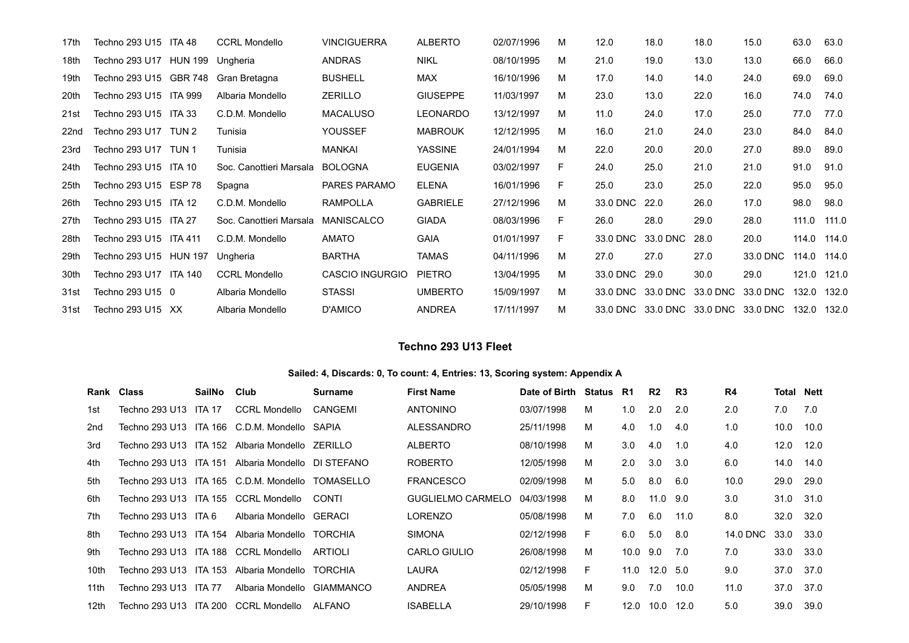| 17th             | Techno 293 U15 ITA 48  |                | <b>CCRL Mondello</b>    | <b>VINCIGUERRA</b>     | <b>ALBERTO</b>  | 02/07/1996 | м | 12.0     | 18.0     | 18.0     | 15.0                                | 63.0        | 63.0  |
|------------------|------------------------|----------------|-------------------------|------------------------|-----------------|------------|---|----------|----------|----------|-------------------------------------|-------------|-------|
| 18th             | Techno 293 U17         | <b>HUN 199</b> | Ungheria                | <b>ANDRAS</b>          | <b>NIKL</b>     | 08/10/1995 | м | 21.0     | 19.0     | 13.0     | 13.0                                | 66.0        | 66.0  |
| 19th             | Techno 293 U15 GBR 748 |                | Gran Bretagna           | <b>BUSHELL</b>         | <b>MAX</b>      | 16/10/1996 | М | 17.0     | 14.0     | 14.0     | 24.0                                | 69.0        | 69.0  |
| 20th             | Techno 293 U15 ITA 999 |                | Albaria Mondello        | <b>ZERILLO</b>         | <b>GIUSEPPE</b> | 11/03/1997 | м | 23.0     | 13.0     | 22.0     | 16.0                                | 74.0        | 74.0  |
| 21st             | Techno 293 U15 ITA 33  |                | C.D.M. Mondello         | <b>MACALUSO</b>        | <b>LEONARDO</b> | 13/12/1997 | M | 11.0     | 24.0     | 17.0     | 25.0                                | 77.0        | 77.0  |
| 22 <sub>nd</sub> | Techno 293 U17 TUN 2   |                | Tunisia                 | YOUSSEF                | <b>MABROUK</b>  | 12/12/1995 | м | 16.0     | 21.0     | 24.0     | 23.0                                | 84.0        | 84.0  |
| 23rd             | Techno 293 U17         | TUN 1          | Tunisia                 | MANKAI                 | <b>YASSINE</b>  | 24/01/1994 | м | 22.0     | 20.0     | 20.0     | 27.0                                | 89.0        | 89.0  |
| 24th             | Techno 293 U15 ITA 10  |                | Soc. Canottieri Marsala | <b>BOLOGNA</b>         | <b>EUGENIA</b>  | 03/02/1997 | F | 24.0     | 25.0     | 21.0     | 21.0                                | 91.0        | 91.0  |
| 25th             | Techno 293 U15 ESP 78  |                | Spagna                  | PARES PARAMO           | <b>ELENA</b>    | 16/01/1996 | F | 25.0     | 23.0     | 25.0     | 22.0                                | 95.0        | 95.0  |
| 26th             | Techno 293 U15 ITA 12  |                | C.D.M. Mondello         | <b>RAMPOLLA</b>        | <b>GABRIELE</b> | 27/12/1996 | м | 33.0 DNC | 22.0     | 26.0     | 17.0                                | 98.0        | 98.0  |
| 27th             | Techno 293 U15 ITA 27  |                | Soc. Canottieri Marsala | MANISCALCO             | <b>GIADA</b>    | 08/03/1996 | F | 26.0     | 28.0     | 29.0     | 28.0                                | 111.0       | 111.0 |
| 28th             | Techno 293 U15 ITA 411 |                | C.D.M. Mondello         | <b>AMATO</b>           | <b>GAIA</b>     | 01/01/1997 | F | 33.0 DNC | 33.0 DNC | 28.0     | 20.0                                | 114.0       | 114.0 |
| 29th             | Techno 293 U15 HUN 197 |                | Ungheria                | <b>BARTHA</b>          | <b>TAMAS</b>    | 04/11/1996 | М | 27.0     | 27.0     | 27.0     | 33.0 DNC                            | 114.0       | 114.0 |
| 30th             | Techno 293 U17 ITA 140 |                | <b>CCRL Mondello</b>    | <b>CASCIO INGURGIO</b> | <b>PIETRO</b>   | 13/04/1995 | м | 33.0 DNC | 29.0     | 30.0     | 29.0                                | 121.0 121.0 |       |
| 31st             | Techno 293 U15 0       |                | Albaria Mondello        | <b>STASSI</b>          | <b>UMBERTO</b>  | 15/09/1997 | M | 33.0 DNC | 33.0 DNC | 33.0 DNC | 33.0 DNC                            | 132.0       | 132.0 |
| 31st             | Techno 293 U15 XX      |                | Albaria Mondello        | D'AMICO                | <b>ANDREA</b>   | 17/11/1997 | M |          |          |          | 33.0 DNC 33.0 DNC 33.0 DNC 33.0 DNC | 132.0       | 132.0 |

### **Techno 293 U13 Fleet**

#### **Sailed: 4, Discards: 0, To count: 4, Entries: 13, Scoring system: Appendix A**

|      | Rank Class             | SailNo | Club                                            | Surname        | <b>First Name</b>        | Date of Birth | Status R1 |          | R2       | R3   | R4       | <b>Total Nett</b> |      |
|------|------------------------|--------|-------------------------------------------------|----------------|--------------------------|---------------|-----------|----------|----------|------|----------|-------------------|------|
| 1st. | Techno 293 U13 ITA 17  |        | <b>CCRL Mondello</b>                            | CANGEMI        | <b>ANTONINO</b>          | 03/07/1998    | M         | 1.0      | 2.0      | 2.0  | 2.0      | 7.0               | 7.0  |
| 2nd  |                        |        | Techno 293 U13 ITA 166 C.D.M. Mondello SAPIA    |                | ALESSANDRO               | 25/11/1998    | м         | 4.0      | 1.0      | 4.0  | 1.0      | 10.0              | 10.0 |
| 3rd  |                        |        | Techno 293 U13 ITA 152 Albaria Mondello ZERILLO |                | <b>ALBERTO</b>           | 08/10/1998    | M         | 3.0      | 4.0      | 1.0  | 4.0      | 12.0              | 12.0 |
| 4th  | Techno 293 U13 ITA 151 |        | Albaria Mondello DI STEFANO                     |                | <b>ROBERTO</b>           | 12/05/1998    | м         | 2.0      | 3.0      | 3.0  | 6.0      | 14.0              | 14.0 |
| 5th  |                        |        | Techno 293 U13 ITA 165 C.D.M. Mondello          | TOMASELLO      | <b>FRANCESCO</b>         | 02/09/1998    | м         | 5.0      | 8.0      | 6.0  | 10.0     | 29.0              | 29.0 |
| 6th  |                        |        | Techno 293 U13 ITA 155 CCRL Mondello            | CONTI          | <b>GUGLIELMO CARMELO</b> | 04/03/1998    | м         | 8.0      | 11.0 9.0 |      | 3.0      | 31.0              | 31.0 |
| 7th  | Techno 293 U13 ITA 6   |        | Albaria Mondello GERACI                         |                | LORENZO                  | 05/08/1998    | м         | 7.0      | 6.0      | 11.0 | 8.0      | 32.0              | 32.0 |
| 8th  | Techno 293 U13 ITA 154 |        | Albaria Mondello                                | TORCHIA        | <b>SIMONA</b>            | 02/12/1998    | F.        | 6.0      | 5.0      | 8.0  | 14.0 DNC | 33.0              | 33.0 |
| 9th  |                        |        | Techno 293 U13 ITA 188 CCRL Mondello            | ARTIOLI        | <b>CARLO GIULIO</b>      | 26/08/1998    | м         | 10.0 9.0 |          | 7.0  | 7.0      | 33.0              | 33.0 |
| 10th | Techno 293 U13 ITA 153 |        | Albaria Mondello                                | <b>TORCHIA</b> | LAURA                    | 02/12/1998    | E         | 11.0     | 12.0 5.0 |      | 9.0      | 37.0              | 37.0 |
| 11th | Techno 293 U13 ITA 77  |        | Albaria Mondello                                | GIAMMANCO      | <b>ANDREA</b>            | 05/05/1998    | м         | 9.0      | 7.0      | 10.0 | 11.0     | 37.0              | 37.0 |
| 12th | Techno 293 U13 ITA 200 |        | <b>CCRL Mondello</b>                            | ALFANO         | <b>ISABELLA</b>          | 29/10/1998    | F.        | 12.0     | 10.0     | 12.0 | 5.0      | 39.0              | 39.0 |